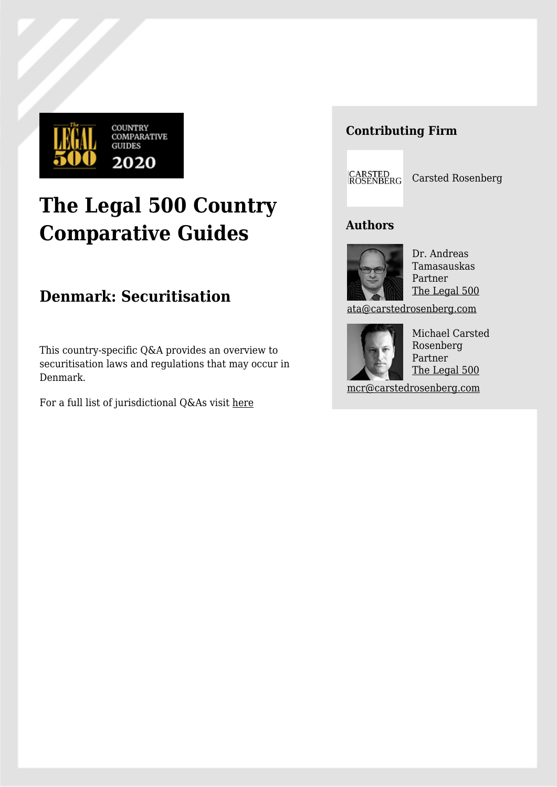

# **The Legal 500 Country Comparative Guides**

## **Denmark: Securitisation**

This country-specific Q&A provides an overview to securitisation laws and regulations that may occur in Denmark.

For a full list of jurisdictional Q&As visit [here](https://www.legal500.com/guides/)

### **Contributing Firm**

CARSTED<br>ROSENBERG Carsted Rosenberg

#### **Authors**



Dr. Andreas Tamasauskas Partner [The Legal 500](https://www.legal500.com/firms/16359-carsted-rosenberg/20795-copenhagen-denmark/lawyers/743473-andreas-tamasauskas/)

[ata@carstedrosenberg.com](mailto:ata@carstedrosenberg.com)



Michael Carsted Rosenberg Partner [The Legal 500](https://www.legal500.com/firms/16359-carsted-rosenberg/20795-copenhagen-denmark/lawyers/315405-michael-carsted-rosenberg/)

[mcr@carstedrosenberg.com](mailto:mcr@carstedrosenberg.com)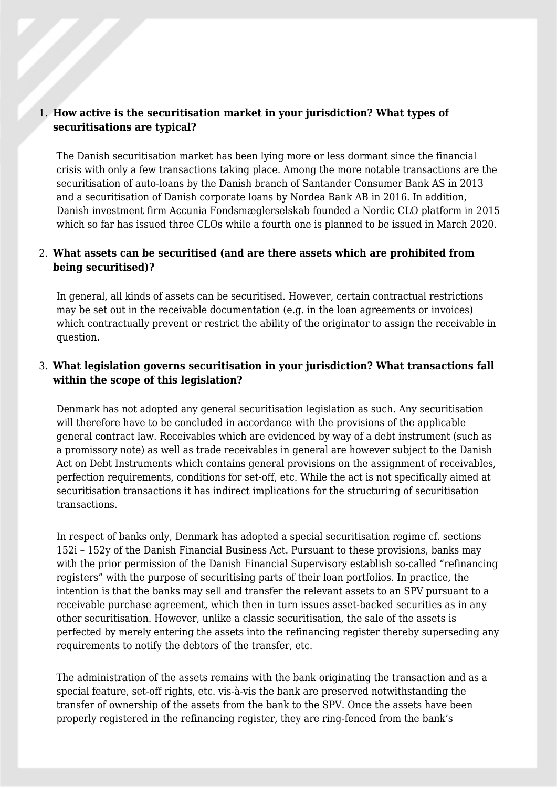#### 1. **How active is the securitisation market in your jurisdiction? What types of securitisations are typical?**

The Danish securitisation market has been lying more or less dormant since the financial crisis with only a few transactions taking place. Among the more notable transactions are the securitisation of auto-loans by the Danish branch of Santander Consumer Bank AS in 2013 and a securitisation of Danish corporate loans by Nordea Bank AB in 2016. In addition, Danish investment firm Accunia Fondsmæglerselskab founded a Nordic CLO platform in 2015 which so far has issued three CLOs while a fourth one is planned to be issued in March 2020.

#### 2. **What assets can be securitised (and are there assets which are prohibited from being securitised)?**

In general, all kinds of assets can be securitised. However, certain contractual restrictions may be set out in the receivable documentation (e.g. in the loan agreements or invoices) which contractually prevent or restrict the ability of the originator to assign the receivable in question.

#### 3. **What legislation governs securitisation in your jurisdiction? What transactions fall within the scope of this legislation?**

Denmark has not adopted any general securitisation legislation as such. Any securitisation will therefore have to be concluded in accordance with the provisions of the applicable general contract law. Receivables which are evidenced by way of a debt instrument (such as a promissory note) as well as trade receivables in general are however subject to the Danish Act on Debt Instruments which contains general provisions on the assignment of receivables, perfection requirements, conditions for set-off, etc. While the act is not specifically aimed at securitisation transactions it has indirect implications for the structuring of securitisation transactions.

In respect of banks only, Denmark has adopted a special securitisation regime cf. sections 152i – 152y of the Danish Financial Business Act. Pursuant to these provisions, banks may with the prior permission of the Danish Financial Supervisory establish so-called "refinancing registers" with the purpose of securitising parts of their loan portfolios. In practice, the intention is that the banks may sell and transfer the relevant assets to an SPV pursuant to a receivable purchase agreement, which then in turn issues asset-backed securities as in any other securitisation. However, unlike a classic securitisation, the sale of the assets is perfected by merely entering the assets into the refinancing register thereby superseding any requirements to notify the debtors of the transfer, etc.

The administration of the assets remains with the bank originating the transaction and as a special feature, set-off rights, etc. vis-à-vis the bank are preserved notwithstanding the transfer of ownership of the assets from the bank to the SPV. Once the assets have been properly registered in the refinancing register, they are ring-fenced from the bank's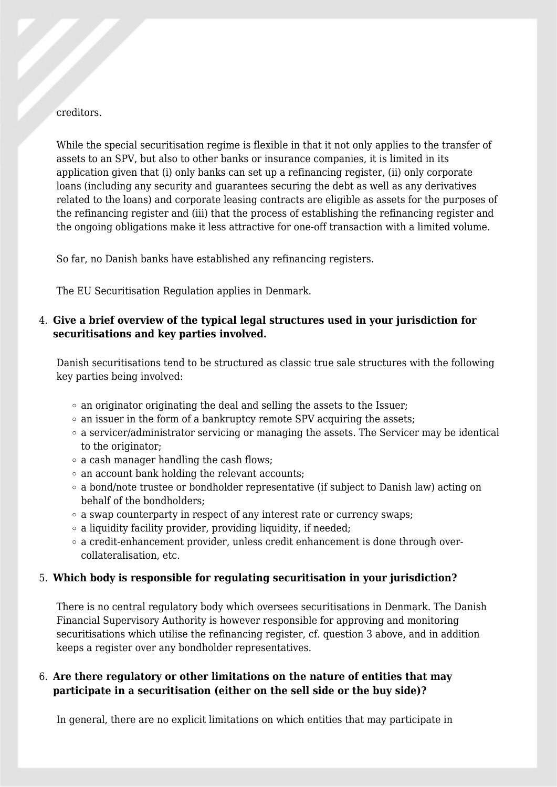#### creditors.

While the special securitisation regime is flexible in that it not only applies to the transfer of assets to an SPV, but also to other banks or insurance companies, it is limited in its application given that (i) only banks can set up a refinancing register, (ii) only corporate loans (including any security and guarantees securing the debt as well as any derivatives related to the loans) and corporate leasing contracts are eligible as assets for the purposes of the refinancing register and (iii) that the process of establishing the refinancing register and the ongoing obligations make it less attractive for one-off transaction with a limited volume.

So far, no Danish banks have established any refinancing registers.

The EU Securitisation Regulation applies in Denmark.

#### 4. **Give a brief overview of the typical legal structures used in your jurisdiction for securitisations and key parties involved.**

Danish securitisations tend to be structured as classic true sale structures with the following key parties being involved:

- $\circ$  an originator originating the deal and selling the assets to the Issuer;
- $\circ$  an issuer in the form of a bankruptcy remote SPV acquiring the assets;
- a servicer/administrator servicing or managing the assets. The Servicer may be identical to the originator:
- a cash manager handling the cash flows;
- $\circ$  an account bank holding the relevant accounts;
- $\circ$  a bond/note trustee or bondholder representative (if subject to Danish law) acting on behalf of the bondholders;
- $\circ$  a swap counterparty in respect of any interest rate or currency swaps;
- $\circ$  a liquidity facility provider, providing liquidity, if needed;
- a credit-enhancement provider, unless credit enhancement is done through overcollateralisation, etc.

#### 5. **Which body is responsible for regulating securitisation in your jurisdiction?**

There is no central regulatory body which oversees securitisations in Denmark. The Danish Financial Supervisory Authority is however responsible for approving and monitoring securitisations which utilise the refinancing register, cf. question 3 above, and in addition keeps a register over any bondholder representatives.

#### 6. **Are there regulatory or other limitations on the nature of entities that may participate in a securitisation (either on the sell side or the buy side)?**

In general, there are no explicit limitations on which entities that may participate in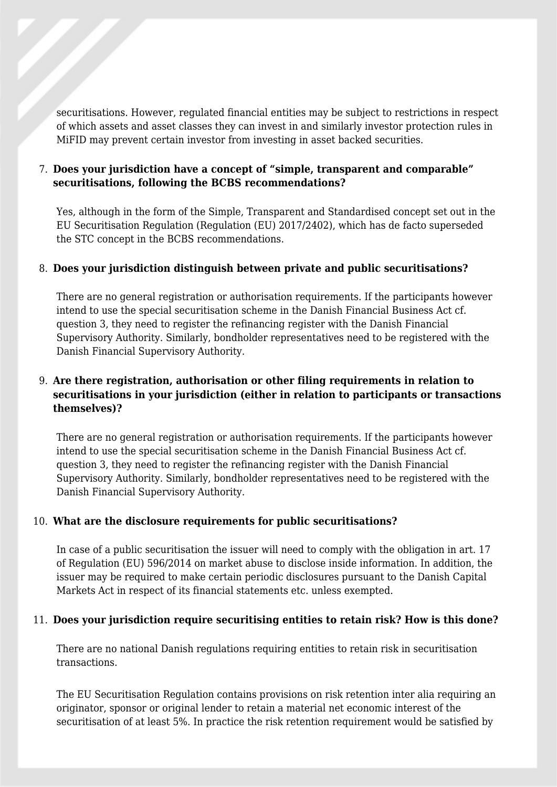securitisations. However, regulated financial entities may be subject to restrictions in respect of which assets and asset classes they can invest in and similarly investor protection rules in MiFID may prevent certain investor from investing in asset backed securities.

#### 7. **Does your jurisdiction have a concept of "simple, transparent and comparable" securitisations, following the BCBS recommendations?**

Yes, although in the form of the Simple, Transparent and Standardised concept set out in the EU Securitisation Regulation (Regulation (EU) 2017/2402), which has de facto superseded the STC concept in the BCBS recommendations.

#### 8. **Does your jurisdiction distinguish between private and public securitisations?**

There are no general registration or authorisation requirements. If the participants however intend to use the special securitisation scheme in the Danish Financial Business Act cf. question 3, they need to register the refinancing register with the Danish Financial Supervisory Authority. Similarly, bondholder representatives need to be registered with the Danish Financial Supervisory Authority.

#### 9. **Are there registration, authorisation or other filing requirements in relation to securitisations in your jurisdiction (either in relation to participants or transactions themselves)?**

There are no general registration or authorisation requirements. If the participants however intend to use the special securitisation scheme in the Danish Financial Business Act cf. question 3, they need to register the refinancing register with the Danish Financial Supervisory Authority. Similarly, bondholder representatives need to be registered with the Danish Financial Supervisory Authority.

#### 10. **What are the disclosure requirements for public securitisations?**

In case of a public securitisation the issuer will need to comply with the obligation in art. 17 of Regulation (EU) 596/2014 on market abuse to disclose inside information. In addition, the issuer may be required to make certain periodic disclosures pursuant to the Danish Capital Markets Act in respect of its financial statements etc. unless exempted.

#### 11. **Does your jurisdiction require securitising entities to retain risk? How is this done?**

There are no national Danish regulations requiring entities to retain risk in securitisation transactions.

The EU Securitisation Regulation contains provisions on risk retention inter alia requiring an originator, sponsor or original lender to retain a material net economic interest of the securitisation of at least 5%. In practice the risk retention requirement would be satisfied by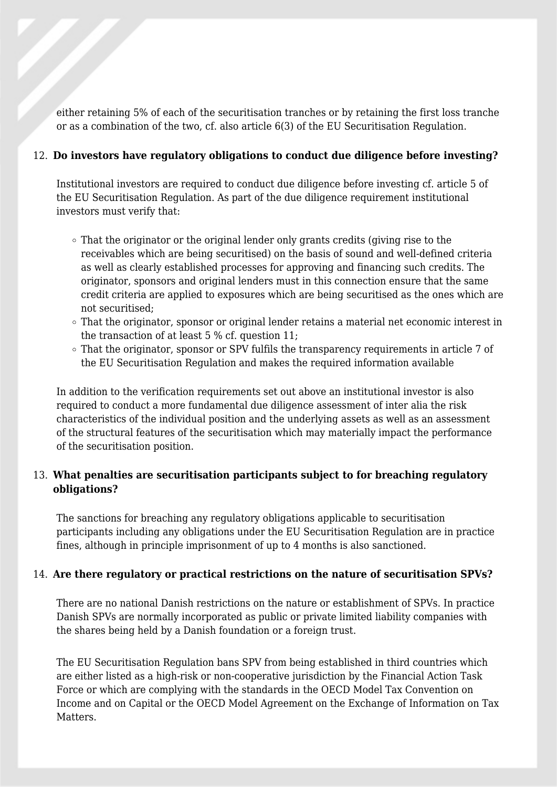either retaining 5% of each of the securitisation tranches or by retaining the first loss tranche or as a combination of the two, cf. also article 6(3) of the EU Securitisation Regulation.

#### 12. **Do investors have regulatory obligations to conduct due diligence before investing?**

Institutional investors are required to conduct due diligence before investing cf. article 5 of the EU Securitisation Regulation. As part of the due diligence requirement institutional investors must verify that:

- That the originator or the original lender only grants credits (giving rise to the receivables which are being securitised) on the basis of sound and well-defined criteria as well as clearly established processes for approving and financing such credits. The originator, sponsors and original lenders must in this connection ensure that the same credit criteria are applied to exposures which are being securitised as the ones which are not securitised;
- $\circ$  That the originator, sponsor or original lender retains a material net economic interest in the transaction of at least 5 % cf. question 11;
- $\circ$  That the originator, sponsor or SPV fulfils the transparency requirements in article 7 of the EU Securitisation Regulation and makes the required information available

In addition to the verification requirements set out above an institutional investor is also required to conduct a more fundamental due diligence assessment of inter alia the risk characteristics of the individual position and the underlying assets as well as an assessment of the structural features of the securitisation which may materially impact the performance of the securitisation position.

#### 13. **What penalties are securitisation participants subject to for breaching regulatory obligations?**

The sanctions for breaching any regulatory obligations applicable to securitisation participants including any obligations under the EU Securitisation Regulation are in practice fines, although in principle imprisonment of up to 4 months is also sanctioned.

#### 14. **Are there regulatory or practical restrictions on the nature of securitisation SPVs?**

There are no national Danish restrictions on the nature or establishment of SPVs. In practice Danish SPVs are normally incorporated as public or private limited liability companies with the shares being held by a Danish foundation or a foreign trust.

The EU Securitisation Regulation bans SPV from being established in third countries which are either listed as a high-risk or non-cooperative jurisdiction by the Financial Action Task Force or which are complying with the standards in the OECD Model Tax Convention on Income and on Capital or the OECD Model Agreement on the Exchange of Information on Tax Matters.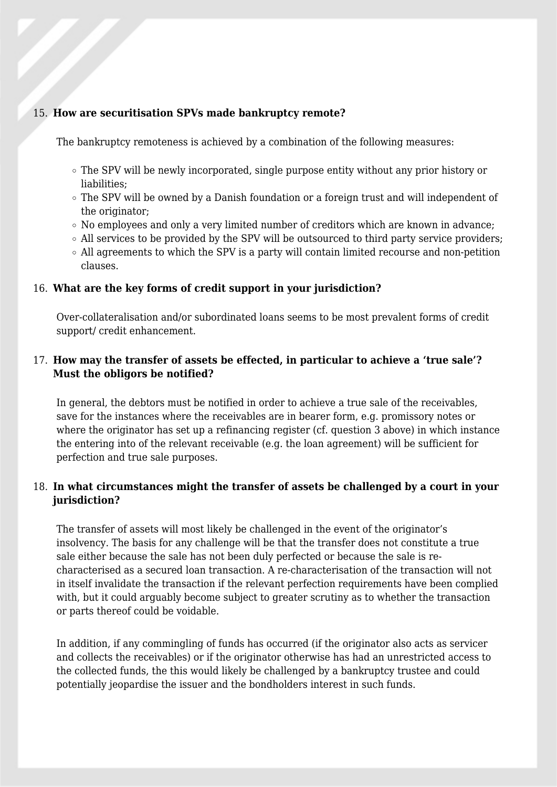#### 15. **How are securitisation SPVs made bankruptcy remote?**

The bankruptcy remoteness is achieved by a combination of the following measures:

- $\circ$  The SPV will be newly incorporated, single purpose entity without any prior history or liabilities;
- The SPV will be owned by a Danish foundation or a foreign trust and will independent of the originator;
- $\circ$  No employees and only a very limited number of creditors which are known in advance;
- $\circ$  All services to be provided by the SPV will be outsourced to third party service providers;
- $\circ$  All agreements to which the SPV is a party will contain limited recourse and non-petition clauses.

#### 16. **What are the key forms of credit support in your jurisdiction?**

Over-collateralisation and/or subordinated loans seems to be most prevalent forms of credit support/ credit enhancement.

#### 17. **How may the transfer of assets be effected, in particular to achieve a 'true sale'? Must the obligors be notified?**

In general, the debtors must be notified in order to achieve a true sale of the receivables, save for the instances where the receivables are in bearer form, e.g. promissory notes or where the originator has set up a refinancing register (cf. question 3 above) in which instance the entering into of the relevant receivable (e.g. the loan agreement) will be sufficient for perfection and true sale purposes.

#### 18. **In what circumstances might the transfer of assets be challenged by a court in your jurisdiction?**

The transfer of assets will most likely be challenged in the event of the originator's insolvency. The basis for any challenge will be that the transfer does not constitute a true sale either because the sale has not been duly perfected or because the sale is recharacterised as a secured loan transaction. A re-characterisation of the transaction will not in itself invalidate the transaction if the relevant perfection requirements have been complied with, but it could arguably become subject to greater scrutiny as to whether the transaction or parts thereof could be voidable.

In addition, if any commingling of funds has occurred (if the originator also acts as servicer and collects the receivables) or if the originator otherwise has had an unrestricted access to the collected funds, the this would likely be challenged by a bankruptcy trustee and could potentially jeopardise the issuer and the bondholders interest in such funds.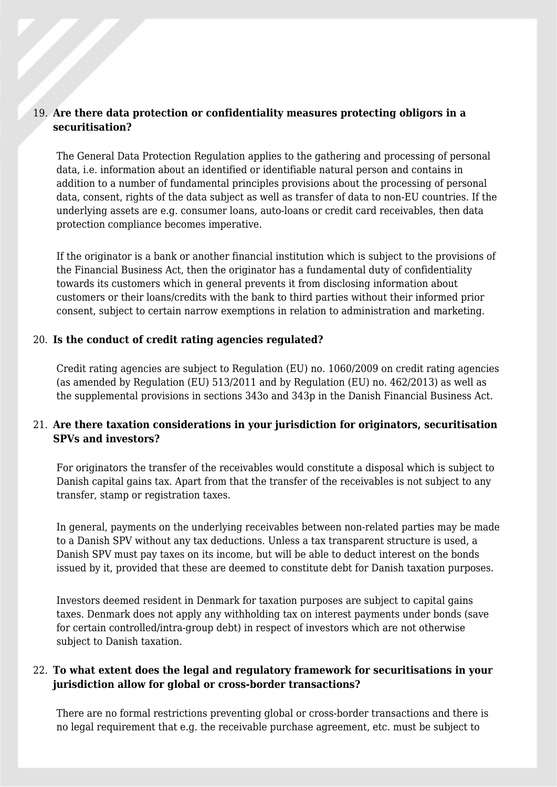#### 19. **Are there data protection or confidentiality measures protecting obligors in a securitisation?**

The General Data Protection Regulation applies to the gathering and processing of personal data, i.e. information about an identified or identifiable natural person and contains in addition to a number of fundamental principles provisions about the processing of personal data, consent, rights of the data subject as well as transfer of data to non-EU countries. If the underlying assets are e.g. consumer loans, auto-loans or credit card receivables, then data protection compliance becomes imperative.

If the originator is a bank or another financial institution which is subject to the provisions of the Financial Business Act, then the originator has a fundamental duty of confidentiality towards its customers which in general prevents it from disclosing information about customers or their loans/credits with the bank to third parties without their informed prior consent, subject to certain narrow exemptions in relation to administration and marketing.

#### 20. **Is the conduct of credit rating agencies regulated?**

Credit rating agencies are subject to Regulation (EU) no. 1060/2009 on credit rating agencies (as amended by Regulation (EU) 513/2011 and by Regulation (EU) no. 462/2013) as well as the supplemental provisions in sections 343o and 343p in the Danish Financial Business Act.

#### 21. **Are there taxation considerations in your jurisdiction for originators, securitisation SPVs and investors?**

For originators the transfer of the receivables would constitute a disposal which is subject to Danish capital gains tax. Apart from that the transfer of the receivables is not subject to any transfer, stamp or registration taxes.

In general, payments on the underlying receivables between non-related parties may be made to a Danish SPV without any tax deductions. Unless a tax transparent structure is used, a Danish SPV must pay taxes on its income, but will be able to deduct interest on the bonds issued by it, provided that these are deemed to constitute debt for Danish taxation purposes.

Investors deemed resident in Denmark for taxation purposes are subject to capital gains taxes. Denmark does not apply any withholding tax on interest payments under bonds (save for certain controlled/intra-group debt) in respect of investors which are not otherwise subject to Danish taxation.

#### 22. **To what extent does the legal and regulatory framework for securitisations in your jurisdiction allow for global or cross-border transactions?**

There are no formal restrictions preventing global or cross-border transactions and there is no legal requirement that e.g. the receivable purchase agreement, etc. must be subject to